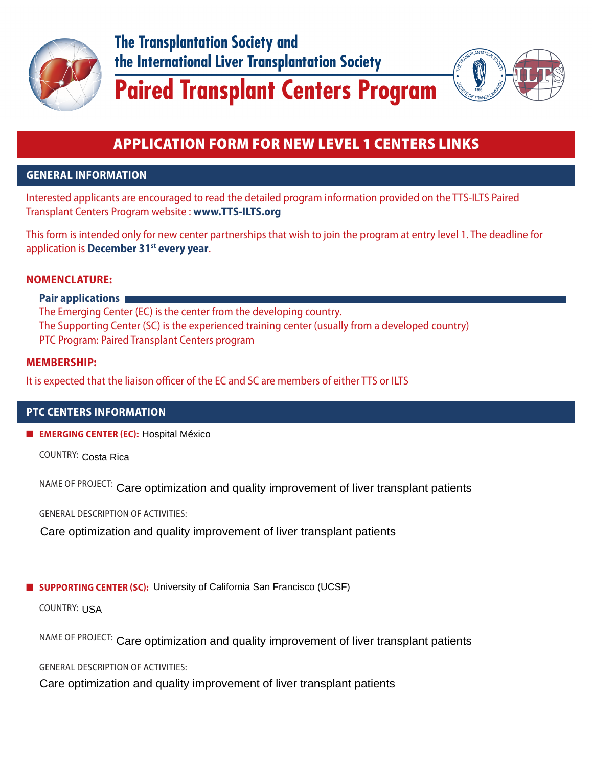

**The Transplantation Society and** the International Liver Transplantation Society



# **Paired Transplant Centers Program**

## APPLICATION FORM FOR NEW LEVEL 1 CENTERS LINKS

## **GENERAL INFORMATION**

Interested applicants are encouraged to read the detailed program information provided on the TTS-ILTS Paired Transplant Centers Program website : **www.TTS-ILTS.org**

This form is intended only for new center partnerships that wish to join the program at entry level 1. The deadline for application is **December 31st every year**.

## **NOMENCLATURE:**

## **Pair applications**

 The Emerging Center (EC) is the center from the developing country. The Supporting Center (SC) is the experienced training center (usually from a developed country) PTC Program: Paired Transplant Centers program

## **MEMBERSHIP:**

It is expected that the liaison officer of the EC and SC are members of either TTS or ILTS

## **PTC CENTERS INFORMATION**

■ **EMERGING CENTER EC:** Hospital México

COUNTRY: Costa Rica

NAME OF PROJECT: Care optimization and quality improvement of liver transplant patients

GENERAL DESCRIPTION OF ACTIVITIES:

Care optimization and quality improvement of liver transplant patients

■ **SUPPORTING CENTER (SC):** University of California San Francisco (UCSF)<br>COUNTRY: USA

COUNTRY:

NAME OF PROJECT: Care optimization and quality improvement of liver transplant patients

GENERAL DESCRIPTION OF ACTIVITIES:

Care optimization and quality improvement of liver transplant patients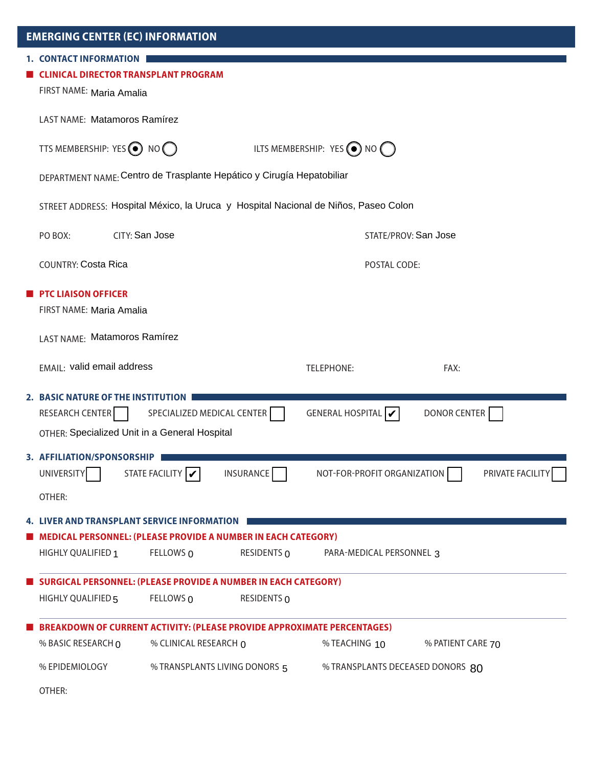| <b>EMERGING CENTER (EC) INFORMATION</b>                                                                             |                                                                       |             |                                            |                   |  |
|---------------------------------------------------------------------------------------------------------------------|-----------------------------------------------------------------------|-------------|--------------------------------------------|-------------------|--|
| <b>1. CONTACT INFORMATION</b><br><b>CLINICAL DIRECTOR TRANSPLANT PROGRAM</b><br>FIRST NAME: Maria Amalia            |                                                                       |             |                                            |                   |  |
|                                                                                                                     | <b>LAST NAME: Matamoros Ramírez</b>                                   |             |                                            |                   |  |
| TTS MEMBERSHIP: YES $\odot$ NO $\odot$                                                                              |                                                                       |             | ILTS MEMBERSHIP: YES $\odot$ NO $\bigcirc$ |                   |  |
|                                                                                                                     | DEPARTMENT NAME: Centro de Trasplante Hepático y Cirugía Hepatobiliar |             |                                            |                   |  |
| STREET ADDRESS: Hospital México, la Uruca y Hospital Nacional de Niños, Paseo Colon                                 |                                                                       |             |                                            |                   |  |
| CITY: San Jose<br>PO BOX:                                                                                           |                                                                       |             | STATE/PROV: San Jose                       |                   |  |
| <b>COUNTRY: Costa Rica</b>                                                                                          |                                                                       |             | POSTAL CODE:                               |                   |  |
| <b>PTC LIAISON OFFICER</b><br>FIRST NAME: Maria Amalia                                                              |                                                                       |             |                                            |                   |  |
| LAST NAME: Matamoros Ramírez                                                                                        |                                                                       |             |                                            |                   |  |
| EMAIL: valid email address                                                                                          |                                                                       |             | <b>TELEPHONE:</b>                          | FAX:              |  |
| 2. BASIC NATURE OF THE INSTITUTION<br>RESEARCH CENTER<br>OTHER: Specialized Unit in a General Hospital              | SPECIALIZED MEDICAL CENTER                                            |             | GENERAL HOSPITAL $\mathcal V$              | DONOR CENTER      |  |
| 3. AFFILIATION/SPONSORSHIP<br>UNIVERSITY<br>OTHER:                                                                  | STATE FACILITY V                                                      | INSURANCE   | NOT-FOR-PROFIT ORGANIZATION                | PRIVATE FACILITY  |  |
| <b>4. LIVER AND TRANSPLANT SERVICE INFORMATION</b><br>MEDICAL PERSONNEL: (PLEASE PROVIDE A NUMBER IN EACH CATEGORY) |                                                                       |             |                                            |                   |  |
| HIGHLY QUALIFIED 1                                                                                                  | FELLOWS 0                                                             | RESIDENTS 0 | PARA-MEDICAL PERSONNEL 3                   |                   |  |
| <b>SURGICAL PERSONNEL: (PLEASE PROVIDE A NUMBER IN EACH CATEGORY)</b>                                               |                                                                       |             |                                            |                   |  |
| HIGHLY QUALIFIED 5                                                                                                  | FELLOWS 0                                                             | RESIDENTS 0 |                                            |                   |  |
| <b>BREAKDOWN OF CURRENT ACTIVITY: (PLEASE PROVIDE APPROXIMATE PERCENTAGES)</b>                                      |                                                                       |             |                                            |                   |  |
| % BASIC RESEARCH 0                                                                                                  | % CLINICAL RESEARCH 0                                                 |             | % TEACHING 10                              | % PATIENT CARE 70 |  |
| % EPIDEMIOLOGY                                                                                                      | % TRANSPLANTS LIVING DONORS 5                                         |             | % TRANSPLANTS DECEASED DONORS 80           |                   |  |
| OTHER:                                                                                                              |                                                                       |             |                                            |                   |  |

L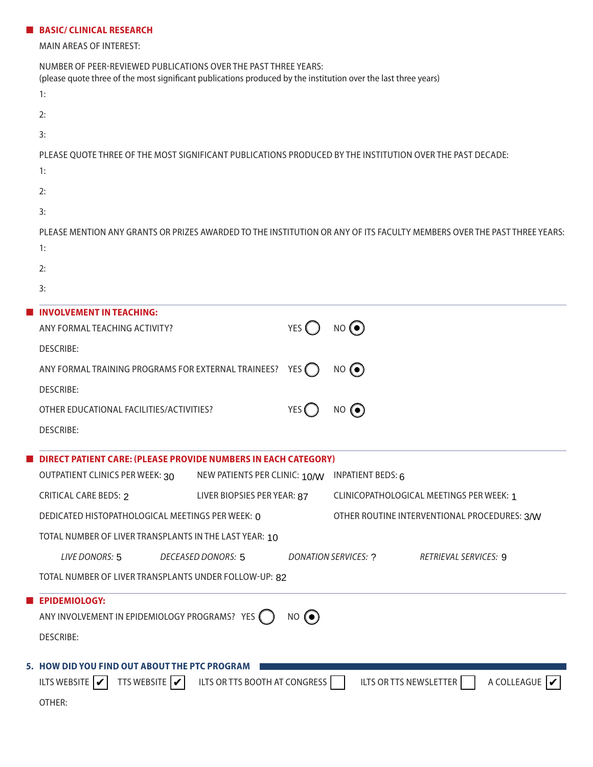#### ■ **BASIC/ CLINICAL RESEARCH**

MAIN AREAS OF INTEREST:

| NUMBER OF PEER-REVIEWED PUBLICATIONS OVER THE PAST THREE YEARS:<br>(please quote three of the most significant publications produced by the institution over the last three years)<br>1: |  |  |  |  |
|------------------------------------------------------------------------------------------------------------------------------------------------------------------------------------------|--|--|--|--|
| 2:                                                                                                                                                                                       |  |  |  |  |
| 3:                                                                                                                                                                                       |  |  |  |  |
| PLEASE QUOTE THREE OF THE MOST SIGNIFICANT PUBLICATIONS PRODUCED BY THE INSTITUTION OVER THE PAST DECADE:                                                                                |  |  |  |  |
| 1:                                                                                                                                                                                       |  |  |  |  |
| 2:                                                                                                                                                                                       |  |  |  |  |
| 3:                                                                                                                                                                                       |  |  |  |  |
| PLEASE MENTION ANY GRANTS OR PRIZES AWARDED TO THE INSTITUTION OR ANY OF ITS FACULTY MEMBERS OVER THE PAST THREE YEARS:                                                                  |  |  |  |  |
| 1:                                                                                                                                                                                       |  |  |  |  |
| 2:                                                                                                                                                                                       |  |  |  |  |
| 3:                                                                                                                                                                                       |  |  |  |  |
| <b>INVOLVEMENT IN TEACHING:</b><br>$NO$ $\odot$<br>YES (<br>ANY FORMAL TEACHING ACTIVITY?                                                                                                |  |  |  |  |
| <b>DESCRIBE:</b>                                                                                                                                                                         |  |  |  |  |
| ANY FORMAL TRAINING PROGRAMS FOR EXTERNAL TRAINEES?<br>$NO$ $\odot$<br>YES $\bigcap$                                                                                                     |  |  |  |  |
| <b>DESCRIBE:</b>                                                                                                                                                                         |  |  |  |  |
| $NO$ ( $\odot$ )<br>OTHER EDUCATIONAL FACILITIES/ACTIVITIES?<br>YES (                                                                                                                    |  |  |  |  |
| <b>DESCRIBE:</b>                                                                                                                                                                         |  |  |  |  |
|                                                                                                                                                                                          |  |  |  |  |
| <b>DIRECT PATIENT CARE: (PLEASE PROVIDE NUMBERS IN EACH CATEGORY)</b>                                                                                                                    |  |  |  |  |
| OUTPATIENT CLINICS PER WEEK: 30<br>NEW PATIENTS PER CLINIC: 10/W INPATIENT BEDS: 6                                                                                                       |  |  |  |  |
| LIVER BIOPSIES PER YEAR: 87<br><b>CRITICAL CARE BEDS: 2</b><br><b>CLINICOPATHOLOGICAL MEETINGS PER WEEK: 1</b>                                                                           |  |  |  |  |
| OTHER ROUTINE INTERVENTIONAL PROCEDURES: 3/W<br>DEDICATED HISTOPATHOLOGICAL MEETINGS PER WEEK: 0                                                                                         |  |  |  |  |
| TOTAL NUMBER OF LIVER TRANSPLANTS IN THE LAST YEAR: 10                                                                                                                                   |  |  |  |  |
| <b>LIVE DONORS: 5</b><br><b>DECEASED DONORS: 5</b><br><b>DONATION SERVICES: ?</b><br>RETRIEVAL SERVICES: 9                                                                               |  |  |  |  |
| TOTAL NUMBER OF LIVER TRANSPLANTS UNDER FOLLOW-UP: 82                                                                                                                                    |  |  |  |  |
| <b>EPIDEMIOLOGY:</b>                                                                                                                                                                     |  |  |  |  |
| ANY INVOLVEMENT IN EPIDEMIOLOGY PROGRAMS? YES ()<br>$NO$ $\odot$                                                                                                                         |  |  |  |  |
| <b>DESCRIBE:</b>                                                                                                                                                                         |  |  |  |  |
| 5. HOW DID YOU FIND OUT ABOUT THE PTC PROGRAM                                                                                                                                            |  |  |  |  |
| TTS WEBSITE $ \mathbf{v} $<br>A COLLEAGUE  <br>ILTS WEBSITE $ \mathcal{V} $<br>ILTS OR TTS BOOTH AT CONGRESS<br>ILTS OR TTS NEWSLETTER                                                   |  |  |  |  |
| OTHER:                                                                                                                                                                                   |  |  |  |  |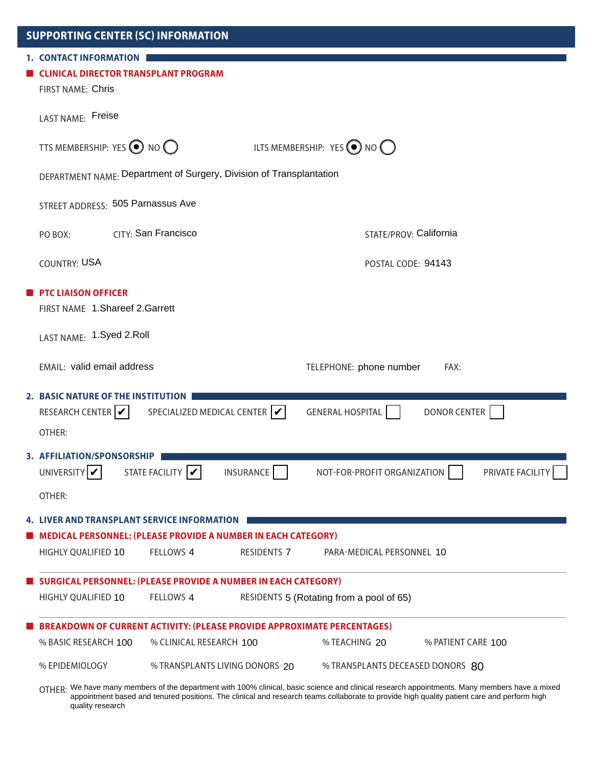| <b>SUPPORTING CENTER (SC) INFORMATION</b>                                                                |                                                                                                           |                                          |                    |
|----------------------------------------------------------------------------------------------------------|-----------------------------------------------------------------------------------------------------------|------------------------------------------|--------------------|
| <b>1. CONTACT INFORMATION</b><br><b>CLINICAL DIRECTOR TRANSPLANT PROGRAM</b><br><b>FIRST NAME: Chris</b> |                                                                                                           |                                          |                    |
| LAST NAME: Freise                                                                                        |                                                                                                           |                                          |                    |
| TTS MEMBERSHIP: YES $\bigodot$ NO $\bigodot$                                                             |                                                                                                           | ILTS MEMBERSHIP: $YES$ (O) NO ()         |                    |
| DEPARTMENT NAME: Department of Surgery, Division of Transplantation                                      |                                                                                                           |                                          |                    |
| STREET ADDRESS: 505 Parnassus Ave                                                                        |                                                                                                           |                                          |                    |
| PO BOX:                                                                                                  | CITY: San Francisco                                                                                       | STATE/PROV: California                   |                    |
| <b>COUNTRY: USA</b>                                                                                      |                                                                                                           | POSTAL CODE: 94143                       |                    |
| <b>PTC LIAISON OFFICER</b><br>FIRST NAME 1. Shareef 2. Garrett                                           |                                                                                                           |                                          |                    |
| LAST NAME: 1.Syed 2.Roll                                                                                 |                                                                                                           |                                          |                    |
| EMAIL: valid email address                                                                               |                                                                                                           | TELEPHONE: phone number                  | FAX:               |
| 2. BASIC NATURE OF THE INSTITUTION<br>RESEARCH CENTER $ V $<br>OTHER:                                    | SPECIALIZED MEDICAL CENTER $ \mathcal{V} $                                                                | <b>GENERAL HOSPITAL</b>                  | DONOR CENTER       |
| 3. AFFILIATION/SPONSORSHIP<br>UNIVERSITY                                                                 | STATE FACILITY  <br>INSURANCE                                                                             | NOT-FOR-PROFIT ORGANIZATION              | PRIVATE FACILITY   |
| OTHER:                                                                                                   |                                                                                                           |                                          |                    |
| <b>4. LIVER AND TRANSPLANT SERVICE INFORMATION</b><br>HIGHLY QUALIFIED 10                                | <b>MEDICAL PERSONNEL: (PLEASE PROVIDE A NUMBER IN EACH CATEGORY)</b><br>FELLOWS 4<br><b>RESIDENTS 7</b>   | PARA-MEDICAL PERSONNEL 10                |                    |
| HIGHLY QUALIFIED 10                                                                                      | <b>SURGICAL PERSONNEL: (PLEASE PROVIDE A NUMBER IN EACH CATEGORY)</b><br>FELLOWS 4                        | RESIDENTS 5 (Rotating from a pool of 65) |                    |
| % BASIC RESEARCH 100                                                                                     | <b>BREAKDOWN OF CURRENT ACTIVITY: (PLEASE PROVIDE APPROXIMATE PERCENTAGES)</b><br>% CLINICAL RESEARCH 100 | % TEACHING 20                            | % PATIENT CARE 100 |
| % EPIDEMIOLOGY                                                                                           | % TRANSPLANTS LIVING DONORS 20                                                                            | % TRANSPLANTS DECEASED DONORS 80         |                    |

OTHER: We have many members of the department with 100% clinical, basic science and clinical research appointments. Many members have a mixed<br>OTHER: We have many members of the department with 100% clinical, basic science appointment based and tenured positions. The clinical and research teams collaborate to provide high quality patient care and perform high quality research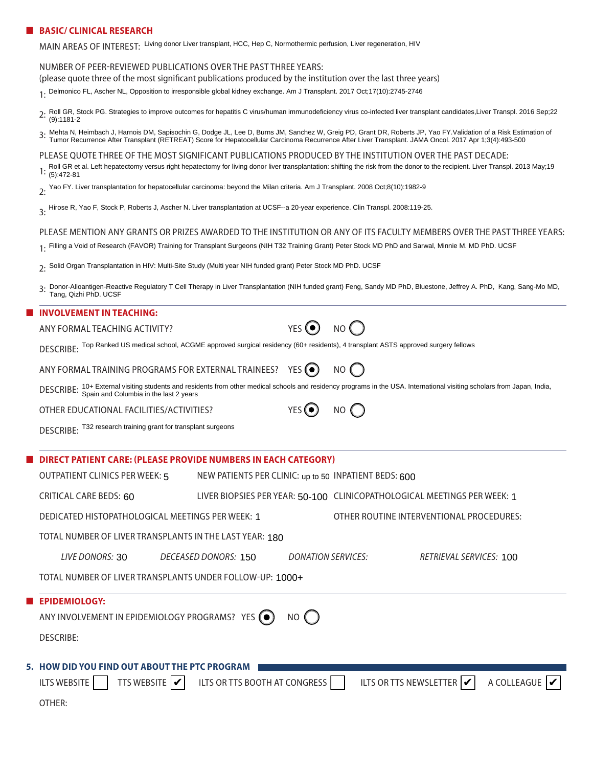#### ■ **BASIC/ CLINICAL RESEARCH**

MAIN AREAS OF INTEREST: Living donor Liver transplant, HCC, Hep C, Normothermic perfusion, Liver regeneration, HIV

#### NUMBER OF PEERREVIEWED PUBLICATIONS OVER THE PAST THREE YEARS:

(please quote three of the most significant publications produced by the institution over the last three years)

1: Delmonico FL, Ascher NL, Opposition to irresponsible global kidney exchange. Am J Transplant. 2017 Oct;17(10):2745-2746

- 2. Roll GR, Stock PG. Strategies to improve outcomes for hepatitis C virus/human immunodeficiency virus co-infected liver transplant candidates, Liver Transpl. 2016 Sep; 22<br>(a) 1181 2 (9):1181-2
- 3. Mehta N, Heimbach J, Harnois DM, Sapisochin G, Dodge JL, Lee D, Burns JM, Sanchez W, Greig PD, Grant DR, Roberts JP, Yao FY. Validation of a Risk Estimation of<br>3. Tumor Bocurropes After Transplant (PETPEAT) Score for Ho Tumor Recurrence After Transplant (RETREAT) Score for Hepatocellular Carcinoma Recurrence After Liver Transplant. JAMA Oncol. 2017 Apr 1;3(4):493-500

PLEASE QUOTE THREE OF THE MOST SIGNIFICANT PUBLICATIONS PRODUCED BY THE INSTITUTION OVER THE PAST DECADE:

- Roll GR et al. Left hepatectomy versus right hepatectomy for living donor liver transplantation: shifting the risk from the donor to the recipient. Liver Transpl. 2013 May;19<br>1: (5):472-81 (5):472-81
- 2: Yao FY. Liver transplantation for hepatocellular carcinoma: beyond the Milan criteria. Am J Transplant. 2008 Oct;8(10):1982-9
- 3: Hirose R, Yao F, Stock P, Roberts J, Ascher N. Liver transplantation at UCSF--a 20-year experience. Clin Transpl. 2008:119-25.

#### PLEASE MENTION ANY GRANTS OR PRIZES AWARDED TO THE INSTITUTION OR ANY OF ITS FACULTY MEMBERS OVER THE PAST THREE YEARS:

- 1: Filling a Void of Research (FAVOR) Training for Transplant Surgeons (NIH T32 Training Grant) Peter Stock MD PhD and Sarwal, Minnie M. MD PhD. UCSF
- 2: Solid Organ Transplantation in HIV: Multi-Site Study (Multi year NIH funded grant) Peter Stock MD PhD. UCSF
- 3. Donor-Alloantigen-Reactive Regulatory T Cell Therapy in Liver Transplantation (NIH funded grant) Feng, Sandy MD PhD, Bluestone, Jeffrey A. PhD, Kang, Sang-Mo MD, <br>Tang, Qizbi PhD, HCSE Tang, Qizhi PhD. UCSF

#### ■ **INVOLVEMENT IN TEACHING:**

ANY FORMAL TEACHING ACTIVITY? YES (O NO (

DESCRIBE: Top Ranked US medical school, ACGME approved surgical residency (60+ residents), 4 transplant ASTS approved surgery fellows

ANY FORMAL TRAINING PROGRAMS FOR EXTERNAL TRAINEES? YES  $\textcircled{\bullet}$  NO  $\ell$ 

DESCRIBE: <sup>Top Ranked US medical school, ACGME approved surgical residency (60+ residents), 4 transplant ASTS approved surgery fellows<br>ANY FORMAL TRAINING PROGRAMS FOR EXTERNAL TRAINEES? YES ● NO ● NO ● NO ● NO → NO → NO </sup> Spain and Columbia in the last 2 years

OTHER EDUCATIONAL FACILITIES/ACTIVITIES?  $YES(\bullet)$  NO  $\bigcap$ 

DESCRIBE: T32 research training grant for transplant surgeons

## ■ **DIRECT PATIENT CARE: PLEASE PROVIDE NUMBERS IN EACH CATEGORY** OUTPATIENT CLINICS PER WEEK: 5 NEW PATIENTS PER CLINIC: <sub>up to 50</sub> INPATIENT BEDS: **600** CRITICAL CARE BEDS: LIVER BIOPSIES PER YEAR: CLINICOPATHOLOGICAL MEETINGS PER WEEK: 60 50-100 1 DEDICATED HISTOPATHOLOGICAL MEETINGS PER WEEK: OTHER ROUTINE INTERVENTIONAL PROCEDURES: 1

| TOTAL NUMBER OF LIVER TRANSPLANTS IN THE LAST YEAR: 180  |                 |                      |                    |                         |  |
|----------------------------------------------------------|-----------------|----------------------|--------------------|-------------------------|--|
|                                                          | LIVE DONORS: 30 | DECEASED DONORS: 150 | DONATION SERVICES: | RETRIEVAL SERVICES: 100 |  |
| TOTAL NUMBER OF LIVER TRANSPLANTS UNDER FOLLOW-UP: 1000+ |                 |                      |                    |                         |  |

| <b>EPIDEMIOLOGY:</b>                                                                                                                                     |
|----------------------------------------------------------------------------------------------------------------------------------------------------------|
| ANY INVOLVEMENT IN EPIDEMIOLOGY PROGRAMS? YES $\bigodot$ NO $\bigodot$                                                                                   |
| DESCRIBE:                                                                                                                                                |
| 5. HOW DID YOU FIND OUT ABOUT THE PTC PROGRAM                                                                                                            |
| ILTS WEBSITE TTS WEBSITE $\boxed{\checkmark}$ ILTS OR TTS BOOTH AT CONGRESS ILTS OR TTS NEWSLETTER $\boxed{\checkmark}$ A COLLEAGUE $\boxed{\checkmark}$ |

OTHER: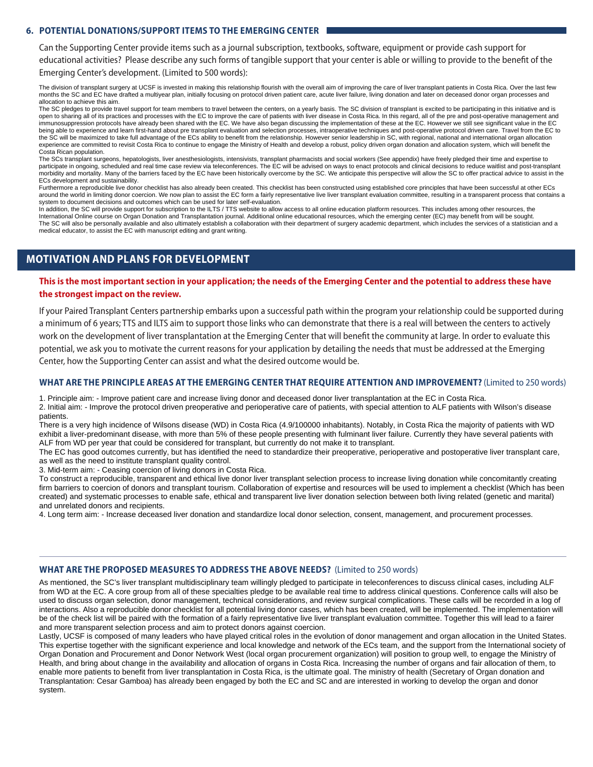#### **6. POTENTIAL DONATIONS/SUPPORT ITEMS TO THE EMERGING CENTER**

Can the Supporting Center provide items such as a journal subscription, textbooks, software, equipment or provide cash support for educational activities? Please describe any such forms of tangible support that your center is able or willing to provide to the benefit of the

Emerging Center's development. (Limited to 500 words):

The division of transplant surgery at UCSF is invested in making this relationship flourish with the overall aim of improving the care of liver transplant patients in Costa Rica. Over the last few months the SC and EC have drafted a multiyear plan, initially focusing on protocol driven patient care, acute liver failure, living donation and later on deceased donor organ processes and allocation to achieve this aim.

The SC pledges to provide travel support for team members to travel between the centers, on a yearly basis. The SC division of transplant is excited to be participating in this initiative and is open to sharing all of its practices and processes with the EC to improve the care of patients with liver disease in Costa Rica. In this regard, all of the pre and post-operative management and immunosuppression protocols have already been shared with the EC. We have also began discussing the implementation of these at the EC. However we still see significant value in the EC being able to experience and learn first-hand about pre transplant evaluation and selection processes, intraoperative techniques and post-operative protocol driven care. Travel from the EC to the SC will be maximized to take full advantage of the ECs ability to benefit from the relationship. However senior leadership in SC, with regional, national and international organ allocation experience are committed to revisit Costa Rica to continue to engage the Ministry of Health and develop a robust, policy driven organ donation and allocation system, which will benefit the Costa Rican population.

The SCs transplant surgeons, hepatologists, liver anesthesiologists, intensivists, transplant pharmacists and social workers (See appendix) have freely pledged their time and expertise to participate in ongoing, scheduled and real time case review via teleconferences. The EC will be advised on ways to enact protocols and clinical decisions to reduce waitlist and post-transplant morbidity and mortality. Many of the barriers faced by the EC have been historically overcome by the SC. We anticipate this perspective will allow the SC to offer practical advice to assist in the ECs development and sustainability.

Furthermore a reproducible live donor checklist has also already been created. This checklist has been constructed using established core principles that have been successful at other ECs around the world in limiting donor coercion. We now plan to assist the EC form a fairly representative live liver transplant evaluation committee, resulting in a transparent process that contains a transparent process that system to document decisions and outcomes which can be used for later self-evaluation.

In addition, the SC will provide support for subscription to the ILTS / TTS website to allow access to all online education platform resources. This includes among other resources, the International Online course on Organ Donation and Transplantation journal. Additional online educational resources, which the emerging center (EC) may benefit from will be sought. The SC will also be personally available and also ultimately establish a collaboration with their department of surgery academic department, which includes the services of a statistician and a medical educator, to assist the EC with manuscript editing and grant writing.

### **MOTIVATION AND PLANS FOR DEVELOPMENT**

#### This is the most important section in your application; the needs of the Emerging Center and the potential to address these have **the strongest impact on the review.**

If your Paired Transplant Centers partnership embarks upon a successful path within the program your relationship could be supported during a minimum of 6 years; TTS and ILTS aim to support those links who can demonstrate that there is a real will between the centers to actively work on the development of liver transplantation at the Emerging Center that will benefit the community at large. In order to evaluate this potential, we ask you to motivate the current reasons for your application by detailing the needs that must be addressed at the Emerging Center, how the Supporting Center can assist and what the desired outcome would be.

#### **WHAT ARE THE PRINCIPLE AREAS AT THE EMERGING CENTER THAT REQUIRE ATTENTION AND IMPROVEMENT?** (Limited to 250 words)

1. Principle aim: - Improve patient care and increase living donor and deceased donor liver transplantation at the EC in Costa Rica. 2. Initial aim: - Improve the protocol driven preoperative and perioperative care of patients, with special attention to ALF patients with Wilson's disease patients.

There is a very high incidence of Wilsons disease (WD) in Costa Rica (4.9/100000 inhabitants). Notably, in Costa Rica the majority of patients with WD exhibit a liver-predominant disease, with more than 5% of these people presenting with fulminant liver failure. Currently they have several patients with ALF from WD per year that could be considered for transplant, but currently do not make it to transplant.

The EC has good outcomes currently, but has identified the need to standardize their preoperative, perioperative and postoperative liver transplant care, as well as the need to institute transplant quality control.

3. Mid-term aim: - Ceasing coercion of living donors in Costa Rica.

To construct a reproducible, transparent and ethical live donor liver transplant selection process to increase living donation while concomitantly creating firm barriers to coercion of donors and transplant tourism. Collaboration of expertise and resources will be used to implement a checklist (Which has been created) and systematic processes to enable safe, ethical and transparent live liver donation selection between both living related (genetic and marital) and unrelated donors and recipients.

4. Long term aim: - Increase deceased liver donation and standardize local donor selection, consent, management, and procurement processes.

#### **WHAT ARE THE PROPOSED MEASURES TO ADDRESS THE ABOVE NEEDS?** (Limited to 250 words)

As mentioned, the SC's liver transplant multidisciplinary team willingly pledged to participate in teleconferences to discuss clinical cases, including ALF from WD at the EC. A core group from all of these specialties pledge to be available real time to address clinical questions. Conference calls will also be used to discuss organ selection, donor management, technical considerations, and review surgical complications. These calls will be recorded in a log of interactions. Also a reproducible donor checklist for all potential living donor cases, which has been created, will be implemented. The implementation will be of the check list will be paired with the formation of a fairly representative live liver transplant evaluation committee. Together this will lead to a fairer and more transparent selection process and aim to protect donors against coercion.

Lastly, UCSF is composed of many leaders who have played critical roles in the evolution of donor management and organ allocation in the United States. This expertise together with the significant experience and local knowledge and network of the ECs team, and the support from the International society of Organ Donation and Procurement and Donor Network West (local organ procurement organization) will position to group well, to engage the Ministry of Health, and bring about change in the availability and allocation of organs in Costa Rica. Increasing the number of organs and fair allocation of them, to enable more patients to benefit from liver transplantation in Costa Rica, is the ultimate goal. The ministry of health (Secretary of Organ donation and Transplantation: Cesar Gamboa) has already been engaged by both the EC and SC and are interested in working to develop the organ and donor system.